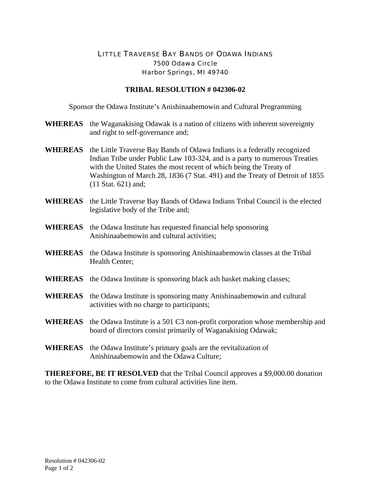## LITTLE TRAVERSE BAY BANDS OF ODAWA INDIANS 7500 Odawa Circle Harbor Springs, MI 49740

## **TRIBAL RESOLUTION # 042306-02**

Sponsor the Odawa Institute's Anishinaabemowin and Cultural Programming

- **WHEREAS** the Waganakising Odawak is a nation of citizens with inherent sovereignty and right to self-governance and;
- **WHEREAS** the Little Traverse Bay Bands of Odawa Indians is a federally recognized Indian Tribe under Public Law 103-324, and is a party to numerous Treaties with the United States the most recent of which being the Treaty of Washington of March 28, 1836 (7 Stat. 491) and the Treaty of Detroit of 1855 (11 Stat. 621) and;
- **WHEREAS** the Little Traverse Bay Bands of Odawa Indians Tribal Council is the elected legislative body of the Tribe and;
- **WHEREAS** the Odawa Institute has requested financial help sponsoring Anishinaabemowin and cultural activities;
- **WHEREAS** the Odawa Institute is sponsoring Anishinaabemowin classes at the Tribal Health Center;
- **WHEREAS** the Odawa Institute is sponsoring black ash basket making classes;
- **WHEREAS** the Odawa Institute is sponsoring many Anishinaabemowin and cultural activities with no charge to participants;
- **WHEREAS** the Odawa Institute is a 501 C3 non-profit corporation whose membership and board of directors consist primarily of Waganakising Odawak;
- **WHEREAS** the Odawa Institute's primary goals are the revitalization of Anishinaabemowin and the Odawa Culture;

**THEREFORE, BE IT RESOLVED** that the Tribal Council approves a \$9,000.00 donation to the Odawa Institute to come from cultural activities line item.